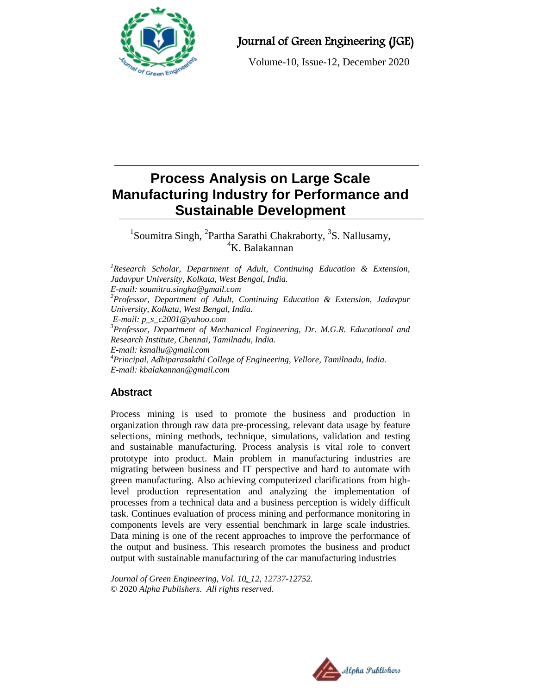

# Journal of Green Engineering (JGE)

Volume-10, Issue-12, December 2020

# **Process Analysis on Large Scale Manufacturing Industry for Performance and Sustainable Development**

<sup>1</sup>Soumitra Singh, <sup>2</sup>Partha Sarathi Chakraborty, <sup>3</sup>S. Nallusamy,  $K$ . Balakannan

*<sup>1</sup>Research Scholar, Department of Adult, Continuing Education & Extension, Jadavpur University, Kolkata, West Bengal, India. E-mail: [soumitra.singha@gmail.com](mailto:soumitra.singha@gmail.com) <sup>2</sup>Professor, Department of Adult, Continuing Education & Extension, Jadavpur University, Kolkata, West Bengal, India. E-mail: p\_s\_c2001@yahoo.com <sup>3</sup>Professor, Department of Mechanical Engineering, Dr. M.G.R. Educational and Research Institute, Chennai, Tamilnadu, India. E-mail: ksnallu@gmail.com <sup>4</sup>Principal, Adhiparasakthi College of Engineering, Vellore, Tamilnadu, India. E-mail: kbalakannan@gmail.com*

## **Abstract**

Process mining is used to promote the business and production in organization through raw data pre-processing, relevant data usage by feature selections, mining methods, technique, simulations, validation and testing and sustainable manufacturing. Process analysis is vital role to convert prototype into product. Main problem in manufacturing industries are migrating between business and IT perspective and hard to automate with green manufacturing. Also achieving computerized clarifications from highlevel production representation and analyzing the implementation of processes from a technical data and a business perception is widely difficult task. Continues evaluation of process mining and performance monitoring in components levels are very essential benchmark in large scale industries. Data mining is one of the recent approaches to improve the performance of the output and business. This research promotes the business and product output with sustainable manufacturing of the car manufacturing industries

*Journal of Green Engineering, Vol. 10\_12, 12737-12752.* © 2020 *Alpha Publishers. All rights reserved.*

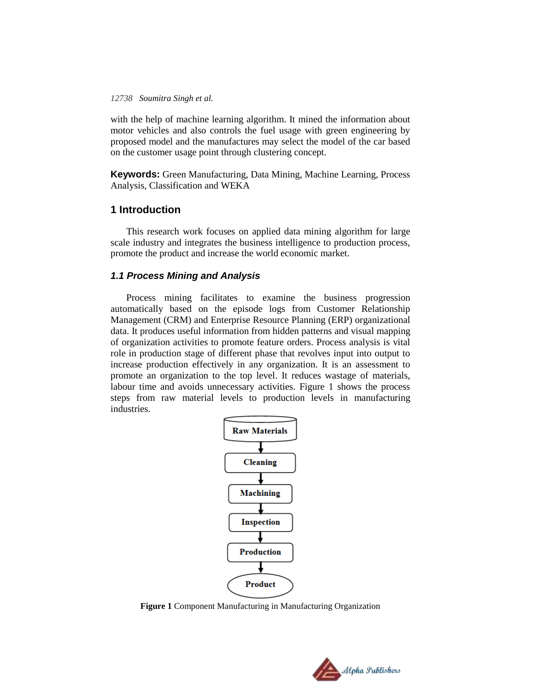with the help of machine learning algorithm. It mined the information about motor vehicles and also controls the fuel usage with green engineering by proposed model and the manufactures may select the model of the car based on the customer usage point through clustering concept.

**Keywords:** Green Manufacturing, Data Mining, Machine Learning, Process Analysis, Classification and WEKA

## **1 Introduction**

This research work focuses on applied data mining algorithm for large scale industry and integrates the business intelligence to production process, promote the product and increase the world economic market.

#### *1.1 Process Mining and Analysis*

Process mining facilitates to examine the business progression automatically based on the episode logs from Customer Relationship Management (CRM) and Enterprise Resource Planning (ERP) organizational data. It produces useful information from hidden patterns and visual mapping of organization activities to promote feature orders. Process analysis is vital role in production stage of different phase that revolves input into output to increase production effectively in any organization. It is an assessment to promote an organization to the top level. It reduces wastage of materials, labour time and avoids unnecessary activities. Figure 1 shows the process steps from raw material levels to production levels in manufacturing industries.



**Figure 1** Component Manufacturing in Manufacturing Organization

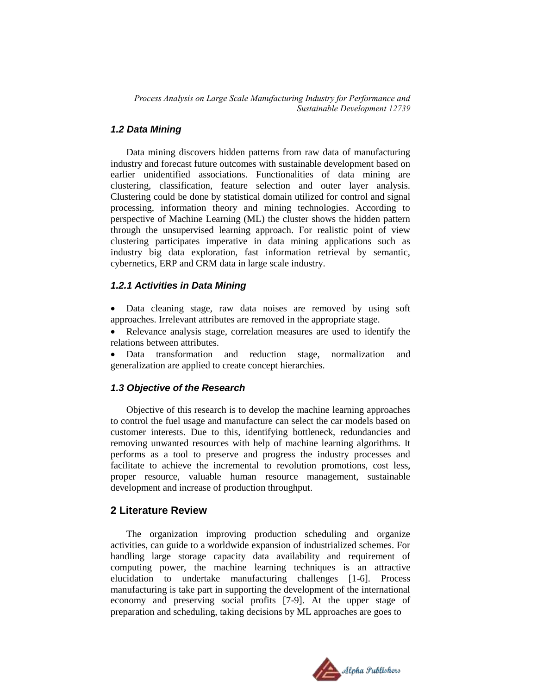## *1.2 Data Mining*

Data mining discovers hidden patterns from raw data of manufacturing industry and forecast future outcomes with sustainable development based on earlier unidentified associations. Functionalities of data mining are clustering, classification, feature selection and outer layer analysis. Clustering could be done by statistical domain utilized for control and signal processing, information theory and mining technologies. According to perspective of Machine Learning (ML) the cluster shows the hidden pattern through the unsupervised learning approach. For realistic point of view clustering participates imperative in data mining applications such as industry big data exploration, fast information retrieval by semantic, cybernetics, ERP and CRM data in large scale industry.

#### *1.2.1 Activities in Data Mining*

- Data cleaning stage, raw data noises are removed by using soft approaches. Irrelevant attributes are removed in the appropriate stage.
- Relevance analysis stage, correlation measures are used to identify the relations between attributes.
- Data transformation and reduction stage, normalization and generalization are applied to create concept hierarchies.

### *1.3 Objective of the Research*

Objective of this research is to develop the machine learning approaches to control the fuel usage and manufacture can select the car models based on customer interests. Due to this, identifying bottleneck, redundancies and removing unwanted resources with help of machine learning algorithms. It performs as a tool to preserve and progress the industry processes and facilitate to achieve the incremental to revolution promotions, cost less, proper resource, valuable human resource management, sustainable development and increase of production throughput.

#### **2 Literature Review**

The organization improving production scheduling and organize activities, can guide to a worldwide expansion of industrialized schemes. For handling large storage capacity data availability and requirement of computing power, the machine learning techniques is an attractive elucidation to undertake manufacturing challenges [1-6]. Process manufacturing is take part in supporting the development of the international economy and preserving social profits [7-9]. At the upper stage of preparation and scheduling, taking decisions by ML approaches are goes to

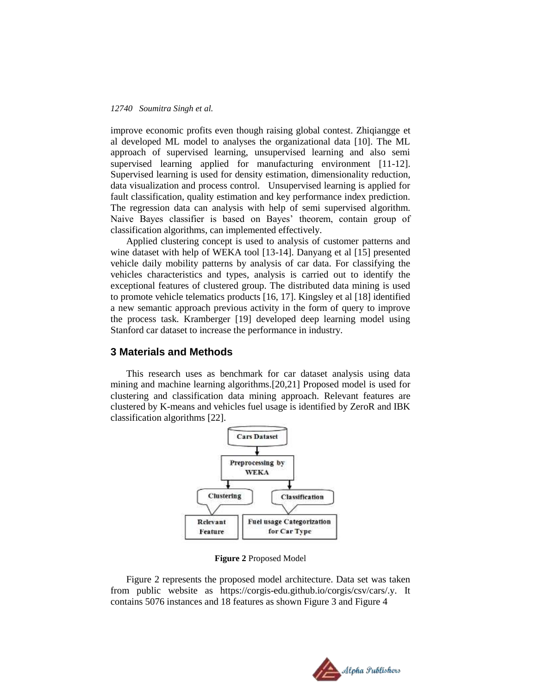improve economic profits even though raising global contest. Zhiqiangge et al developed ML model to analyses the organizational data [10]. The ML approach of supervised learning, unsupervised learning and also semi supervised learning applied for manufacturing environment [11-12]. Supervised learning is used for density estimation, dimensionality reduction, data visualization and process control. Unsupervised learning is applied for fault classification, quality estimation and key performance index prediction. The regression data can analysis with help of semi supervised algorithm. Naive Bayes classifier is based on Bayes' theorem, contain group of classification algorithms, can implemented effectively.

Applied clustering concept is used to analysis of customer patterns and wine dataset with help of WEKA tool [13-14]. Danyang et al [15] presented vehicle daily mobility patterns by analysis of car data. For classifying the vehicles characteristics and types, analysis is carried out to identify the exceptional features of clustered group. The distributed data mining is used to promote vehicle telematics products [16, 17]. Kingsley et al [18] identified a new semantic approach previous activity in the form of query to improve the process task. Kramberger [19] developed deep learning model using Stanford car dataset to increase the performance in industry*.*

### **3 Materials and Methods**

This research uses as benchmark for car dataset analysis using data mining and machine learning algorithms.[20,21] Proposed model is used for clustering and classification data mining approach. Relevant features are clustered by K-means and vehicles fuel usage is identified by ZeroR and IBK classification algorithms [22].



**Figure 2** Proposed Model

Figure 2 represents the proposed model architecture. Data set was taken from public website as https://corgis-edu.github.io/corgis/csv/cars/.y. It contains 5076 instances and 18 features as shown Figure 3 and Figure 4

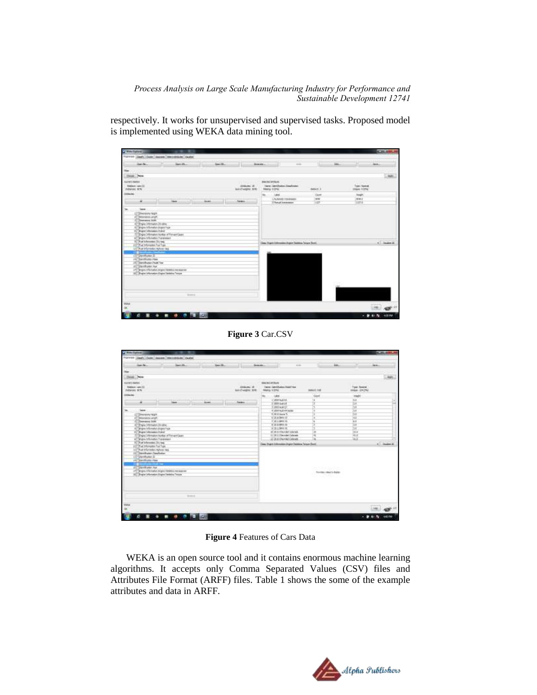respectively. It works for unsupervised and supervised tasks. Proposed model is implemented using WEKA data mining tool.

|                                                                                                                                                                                                            | <b>School (1983)</b><br>Parties (2009) (2009) (2009) (2009) (2009)                            | 110-          |                                                          |                                                                                   |                                      |                                             | 1122     |
|------------------------------------------------------------------------------------------------------------------------------------------------------------------------------------------------------------|-----------------------------------------------------------------------------------------------|---------------|----------------------------------------------------------|-----------------------------------------------------------------------------------|--------------------------------------|---------------------------------------------|----------|
| lande                                                                                                                                                                                                      | ut.<br>Section.                                                                               | limith        |                                                          | Dream and                                                                         | mon-                                 | af.<br>in.                                  | isn.     |
|                                                                                                                                                                                                            |                                                                                               |               |                                                          |                                                                                   |                                      |                                             |          |
| $\frac{1}{2}$<br>Close New                                                                                                                                                                                 |                                                                                               |               |                                                          |                                                                                   |                                      |                                             | Ads.     |
| <b>Endowm.men/22</b><br><b>FRANK KN</b>                                                                                                                                                                    |                                                                                               |               | <b>LITTLE</b><br>Attivity 2<br><b>Jul-17 wednet 3016</b> | нижения<br><b>News Specification Street Asian</b><br>Henry Vitro                  | black it.                            | <b>HIDSA</b><br>Tom Gold<br><b>INAK CON</b> |          |
|                                                                                                                                                                                                            |                                                                                               |               |                                                          | Lake                                                                              | Diam'r                               | lingh!                                      |          |
| u                                                                                                                                                                                                          | <b>Idon</b>                                                                                   | <b>Animal</b> | hanks:                                                   | L'Auturato o transpor-<br><b><i>Change Installations</i></b><br><b>CONTRACTOR</b> | <b>Jane</b><br>Tizir<br><b>TABLE</b> | 1946.0<br>TEELE<br>31.07                    |          |
| Eye Hmdr. It div.<br>III Shaw titlinets/ultrain how<br>6. Single Discounts Print<br>AT Brank Minister Panelesse<br>For information 23 years<br>Fill Post broughts Fox Tiges<br>LET Pue triorisdo. Hyunning | Eyes (Himaton Notice of Forus 6 apr)                                                          |               |                                                          | Gas has known light (arms his r fun)                                              |                                      |                                             | +1 month |
| Denthator, D<br>UNIT Bandycator Haw<br>Little Standsburger Plaza Ford<br>of Chevrole play. New                                                                                                             | 171 Bogra-DA/naturi Angele 1938/61 Hermanover<br>18 Shake Information Engine Determine Torsco |               |                                                          |                                                                                   |                                      |                                             |          |
|                                                                                                                                                                                                            | <b>Bibmin</b>                                                                                 |               |                                                          |                                                                                   |                                      |                                             |          |
| $\frac{1}{\alpha}$                                                                                                                                                                                         |                                                                                               |               |                                                          |                                                                                   |                                      |                                             |          |
|                                                                                                                                                                                                            |                                                                                               |               |                                                          |                                                                                   |                                      |                                             |          |

**Figure 3** Car.CSV

| $-11$<br><b>Cy With Farmer</b><br>PUTTER Dash Date   Jacobs   Hercelline   Jacobs                                                                                               |                                                                                                |                                                       |                                      |                   |
|---------------------------------------------------------------------------------------------------------------------------------------------------------------------------------|------------------------------------------------------------------------------------------------|-------------------------------------------------------|--------------------------------------|-------------------|
| 1.110<br>in his<br>Эf.<br>$2-3$<br>limith                                                                                                                                       | Dream And<br>month.                                                                            | in.                                                   | иc<br>isn.                           |                   |
| <b>Tiler</b>                                                                                                                                                                    |                                                                                                |                                                       |                                      |                   |
| Close New                                                                                                                                                                       |                                                                                                |                                                       |                                      | men.              |
| <b>SUNDAMA</b><br><b>HILL</b><br>Atticket 21<br><b>Engineer ment (2)</b><br><b>FRANCISCO</b><br><b>BALLYWARK 3016</b>                                                           | <b>BACKGRTRUS</b><br><b>News Specification Number</b><br>Herio Vitri                           | climated<br><b>SHARE THE</b>                          | Tool Service<br>Inda china           |                   |
| <b>Internet</b>                                                                                                                                                                 | Lakel.                                                                                         | Court                                                 | roch                                 |                   |
| <b>Atlant</b><br><b>How </b><br>$-21 -$<br><b>News:</b><br>u<br><b>Sales</b>                                                                                                    | WITH NAME AND<br>$2500 - 646 + 31$<br>SING WALL!<br>47 2721 Audi Af twile                      | и<br>τ                                                | m<br>tor<br>îα<br>靈                  | m                 |
| (Filminanna raugh)<br><b>IT SEANANA LANDS</b><br>Cherera ism<br>Engine Information (In other<br>67 Show thought drawn how                                                       | E.SEG Janke T.<br>日光の外の注<br>IT WELDWICH<br><b>B. SCALINAIA TAL</b><br><b>W 2011 Brent Kill</b> | ı.<br>ï<br>İ                                          | tor<br>宿<br>38.8<br><b>SOC</b><br>īΩ |                   |
| 4. Mostly School and Associate<br>Those Infinitive Notice of Forum Least<br>AT BANK STOWAGE TONINGS<br>1 Port Information 22y 1893                                              | 20 St C Chev-Sd Columb<br>L. 2011 Newslet Colorest.<br>22 20 21 Dental Connett                 | īa<br>Ħ<br>5á                                         | lass<br>76X<br>ia.k                  |                   |
| FOR THE SPRINGERS FOR THE<br>LET Was brigningen regions race<br>117 Merchaler Straholin<br>Division D<br>UNITED AND ARCHITECTS<br><b>ATTENTION MANAGERS</b><br>of Contribute to | Class Frank Edmonton State Classica Tenan Panti                                                | <b>Communication of the Communication</b>             |                                      | +1 month          |
| 171 Bogra-DA/nation Angele 19/8/02/Alexandrom<br>18 Shake Information Engine Determine Trease                                                                                   |                                                                                                | Southern Paint to Balder<br>3000<br><b>CONTRACTOR</b> |                                      |                   |
| <b>Bidman</b>                                                                                                                                                                   |                                                                                                |                                                       |                                      |                   |
| <b>TEAH</b><br>œ                                                                                                                                                                |                                                                                                |                                                       |                                      |                   |
| <b>GR</b>                                                                                                                                                                       |                                                                                                |                                                       |                                      | <b>LATITATION</b> |

**Figure 4** Features of Cars Data

WEKA is an open source tool and it contains enormous machine learning algorithms. It accepts only Comma Separated Values (CSV) files and Attributes File Format (ARFF) files. Table 1 shows the some of the example attributes and data in ARFF.

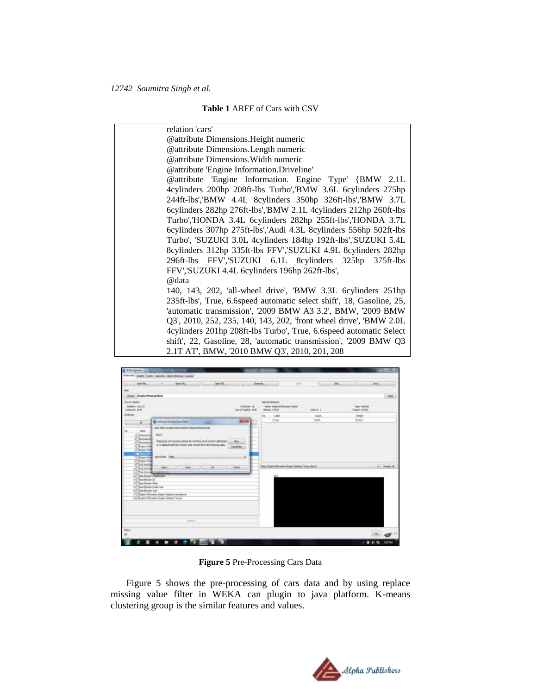#### **Table 1** ARFF of Cars with CSV

| relation 'cars'                                                       |
|-----------------------------------------------------------------------|
| <b>@attribute Dimensions. Height numeric</b>                          |
| @attribute Dimensions. Length numeric                                 |
| @attribute Dimensions. Width numeric                                  |
| @attribute 'Engine Information.Driveline'                             |
| @attribute 'Engine Information. Engine Type' {BMW 2.1L                |
| 4cylinders 200hp 208ft-lbs Turbo','BMW 3.6L 6cylinders 275hp          |
| 244ft-lbs','BMW 4.4L 8cylinders 350hp 326ft-lbs','BMW 3.7L            |
| 6cylinders 282hp 276ft-lbs','BMW 2.1L 4cylinders 212hp 260ft-lbs      |
| Turbo','HONDA 3.4L 6cylinders 282hp 255ft-lbs','HONDA 3.7L            |
| 6cylinders 307hp 275ft-lbs','Audi 4.3L 8cylinders 556hp 502ft-lbs     |
| Turbo', 'SUZUKI 3.0L 4cylinders 184hp 192ft-lbs', 'SUZUKI 5.4L        |
| 8cylinders 312hp 335ft-lbs FFV','SUZUKI 4.9L 8cylinders 282hp         |
| 296ft-lbs FFV','SUZUKI 6.1L 8cylinders 325hp 375ft-lbs                |
| FFV','SUZUKI 4.4L 6cylinders 196hp 262ft-lbs',                        |
| @data                                                                 |
| 140, 143, 202, 'all-wheel drive', 'BMW 3.3L 6cylinders 251hp          |
| 235ft-lbs', True, 6.6speed automatic select shift', 18, Gasoline, 25, |
| 'automatic transmission', '2009 BMW A3 3.2', BMW, '2009 BMW           |
| Q3', 2010, 252, 235, 140, 143, 202, 'front wheel drive', 'BMW 2.0L    |
| 4cylinders 201hp 208ft-lbs Turbo', True, 6.6speed automatic Select    |
| shift', 22, Gasoline, 28, 'automatic transmission', '2009 BMW Q3      |
| 2.1T AT', BMW, '2010 BMW Q3', 2010, 201, 208                          |



**Figure 5** Pre-Processing Cars Data

Figure 5 shows the pre-processing of cars data and by using replace missing value filter in WEKA can plugin to java platform. K-means clustering group is the similar features and values.

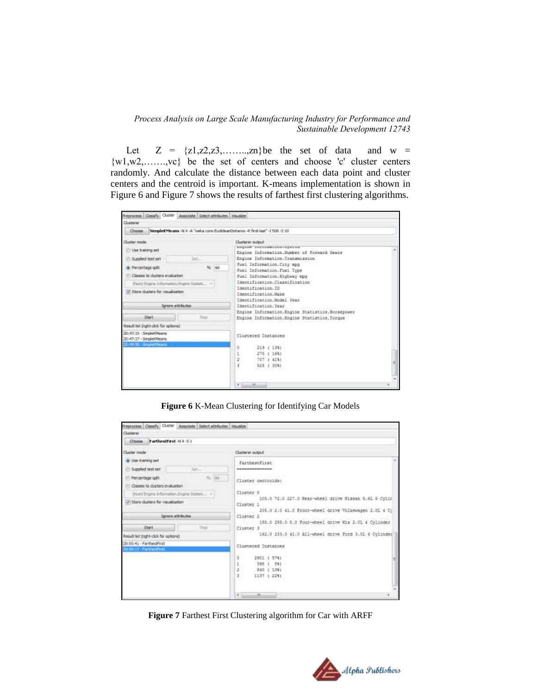Let  $Z = \{z1, z2, z3, \ldots, zn\}$  be the set of data and w =  $\{w1, w2, \ldots, wc\}$  be the set of centers and choose 'c' cluster centers randomly. And calculate the distance between each data point and cluster centers and the centroid is important. K-means implementation is shown in Figure 6 and Figure 7 shows the results of farthest first clustering algorithms.

| Clusterer                                                                                                                                                                                                                        |                                                                                                                                                                                                                                                                                                                                               |   |
|----------------------------------------------------------------------------------------------------------------------------------------------------------------------------------------------------------------------------------|-----------------------------------------------------------------------------------------------------------------------------------------------------------------------------------------------------------------------------------------------------------------------------------------------------------------------------------------------|---|
| Choose<br>SimpleKMeans -N 4 -A "webs.core.fackdearCtitance -R first-last" -I 500 -5 10                                                                                                                                           |                                                                                                                                                                                                                                                                                                                                               |   |
| <b>Cluster mode</b><br><b>ID</b> Use training set<br>Supplied test set<br>Set<br>66<br>@ Percentage split.<br>Clisses to duriers evaluation<br>(ham) Engine Information Engine Statisti  -<br>U. Store clusters for vaualization | Charter et putter.<br>kingaan anavannasiasin'ilayasan<br>Engine Information. Number of Forward Gears<br>Engine Information.Transmission<br>Fuel Information.City mpg<br>Fuel Information.Foel Type<br>Fuel Information. Highway mpg<br>Identification.Classification<br>Identification.ID<br>Identification Make<br>Identification.Model Year |   |
| <b>Jangre attributes</b>                                                                                                                                                                                                         | Identification, Year                                                                                                                                                                                                                                                                                                                          |   |
| <b>Start</b><br><b>Rivers</b>                                                                                                                                                                                                    | Engine Information Engine Statistics. Horsepower<br>Engine Information.Engine Statistics,Torque                                                                                                                                                                                                                                               |   |
| Result let (right-did: for options)                                                                                                                                                                                              |                                                                                                                                                                                                                                                                                                                                               |   |
| 20: 47:15 - SmpkeXNaarm<br>20147137 - SimpleKNeans<br>(tit) 521 - SimpletOrleans.                                                                                                                                                | Clustered Instances<br>2191383<br>ā<br>275   16%)<br>2.<br>707 ( 419)<br>y<br>525 ( 30%)<br>mi                                                                                                                                                                                                                                                | ю |

**Figure 6** K-Mean Clustering for Identifying Car Models

| reprocess Classify Cluster Associate Select attributes Visualize<br>Clusterer                                                                                                  |                                                                                                                                                                 |  |  |  |
|--------------------------------------------------------------------------------------------------------------------------------------------------------------------------------|-----------------------------------------------------------------------------------------------------------------------------------------------------------------|--|--|--|
| Tarthmitfirst -N + -S 1<br><b>Choose</b>                                                                                                                                       |                                                                                                                                                                 |  |  |  |
| Cluster reads:<br>(a) Use training set                                                                                                                                         | Clusterer output                                                                                                                                                |  |  |  |
| Signified hest set<br>liet<br>NOTCAY<br>Percentage split<br>Classes to ducters evaluation<br>Drund Engine Information Engine Statuti  -<br>(J) Store clusters for vocalization | FartheotFiret<br>**************<br>Cluster pentroide:<br>Cluster 0<br>105.0 72.0 227.0 Bear-wheel drive Nissan S.6L 8 Cvlir                                     |  |  |  |
| Ibriers attributes<br><b>Oat</b><br>This                                                                                                                                       | Cluster 1<br>205.0 2.0 41.0 Front-wheel drive Volkswagen 2.0L 4 Cy<br>Cluster <sub>2</sub><br>158.0 255.0 8.0 Four-wheel drive Min 2.01 4 Cylinder<br>Cluster 3 |  |  |  |
| Result list (right-click for aptions)<br>20:55:41 - FarthestFest<br>20:50:37 - Factives First                                                                                  | 162.0 233.0 41.0 All-wheel drive Ford 3.0L 6 Cylinder<br>Clustered Instances<br>2901 ( 578)<br>o<br>390 ( 88)<br>ż<br>640 ( 134)<br>3.<br>1117 ( 228)           |  |  |  |
|                                                                                                                                                                                | $-186$<br>$-1.1$                                                                                                                                                |  |  |  |

**Figure 7** Farthest First Clustering algorithm for Car with ARFF

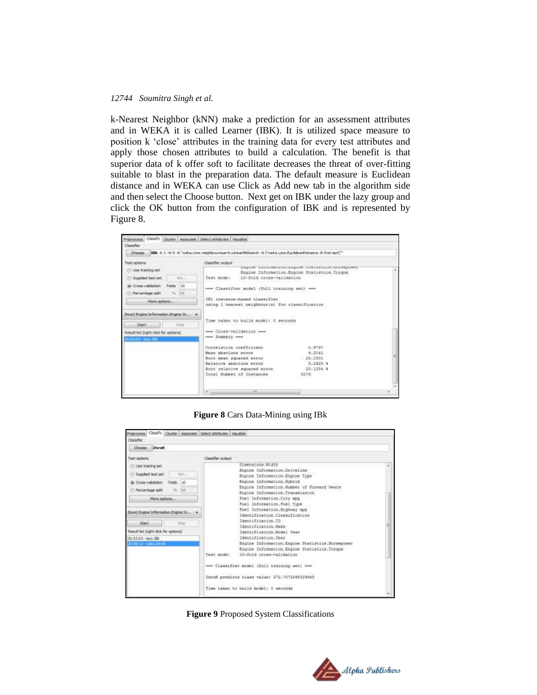k-Nearest Neighbor (kNN) make a prediction for an assessment attributes and in WEKA it is called Learner (IBK). It is utilized space measure to position k "close" attributes in the training data for every test attributes and apply those chosen attributes to build a calculation. The benefit is that superior data of k offer soft to facilitate decreases the threat of over-fitting suitable to blast in the preparation data. The default measure is Euclidean distance and in WEKA can use Click as Add new tab in the algorithm side and then select the Choose button. Next get on IBK under the lazy group and click the OK button from the configuration of IBK and is represented by Figure 8.

| Classifier                                                                                                                      | Choose IBR +K 1 -W 0 -A "webs.core, reighbournearch LinearNNSearch -A ("webs.core, EuclideanDistance -R. first-last)"                                                                                                                                                                  |  |
|---------------------------------------------------------------------------------------------------------------------------------|----------------------------------------------------------------------------------------------------------------------------------------------------------------------------------------------------------------------------------------------------------------------------------------|--|
| Test options:<br>Use training set.<br>Saggiord heat net<br>Situa<br>Cross-saldation Polds 10<br><b>IAK</b><br>Percentage split. | Classifier output:<br>LINE INVESTIVING OPEN PROFILER<br>Engine Information, Engine Statistics. Torque<br>10-fold cross-validation<br>THAT MODEL<br>--- Classifier sodel (full training set) ---                                                                                        |  |
| More options<br>(Nun) Engine Information Engine St *<br><b>School</b><br>Start.                                                 | IB1 instance-based classifier.<br>using 1 nearwat neighbour(s) for classification<br>Time taken to build model: 0 seconds                                                                                                                                                              |  |
| Result list (right-did) for options)<br>0.10.01 - Nev.1N.                                                                       | www.Cross-validation.www.<br>www.dimmary.www.<br>Correlation monfficient<br>30-1207-11<br>Maan absolute srror<br>4.7141<br>Root mean squared error<br>20.1901<br>Relative shooluts error.<br>5.2925 9<br>Root relative squared error<br>20.1254 %<br>Total Humber of Instances<br>5076 |  |
|                                                                                                                                 | $-11 - 1$<br>m.                                                                                                                                                                                                                                                                        |  |

**Figure 8** Cars Data-Mining using IBk

| ZeroR<br><b>Choose</b>                                 |                   |                                                 |  |
|--------------------------------------------------------|-------------------|-------------------------------------------------|--|
| Text options                                           | Classifier output |                                                 |  |
| ITI Lise training set                                  |                   | Dimensions, Width                               |  |
|                                                        |                   | Engine Information.Driveline                    |  |
| Supplied test set<br>firt                              |                   | Engine Information Engine Type                  |  |
| Cross-validation<br>Fakts: 10                          |                   | Engine Information. Hybrid                      |  |
| Percentage soll.<br>m                                  |                   | Engine Information.Humber of Forward Gears      |  |
|                                                        |                   | Engine Information.Transmission                 |  |
| Mare redorn                                            |                   | Fuel Information.City mpg                       |  |
|                                                        |                   | Fuel Information. Fuel Type                     |  |
| (Num) Engine Information Engine St.,                   |                   | Fuel Information. Highway mpg                   |  |
|                                                        |                   | Identification.Classification                   |  |
| Etait<br>TDF                                           |                   | Identification.ID<br>Identification Make:       |  |
| Result list (right-clo); for optional                  |                   | Identification.Model Year                       |  |
|                                                        |                   | Identification.Tear                             |  |
| 20:53:03 - lary 39k<br><b>Drink City Hubba Zerroll</b> |                   | Engine Information.Engine Statistics.Norsepower |  |
|                                                        |                   | Engine Information. Engine Statistics. Torque   |  |
|                                                        | Test mode:        | 10-fold cross-validation                        |  |
|                                                        |                   |                                                 |  |
|                                                        |                   | emm Classifier sodel (full training set) see    |  |
|                                                        |                   | Incoll predicts class value: 272.7072498029945  |  |
|                                                        |                   | Time taken to build model: 0 seconds            |  |
|                                                        |                   |                                                 |  |

**Figure 9** Proposed System Classifications

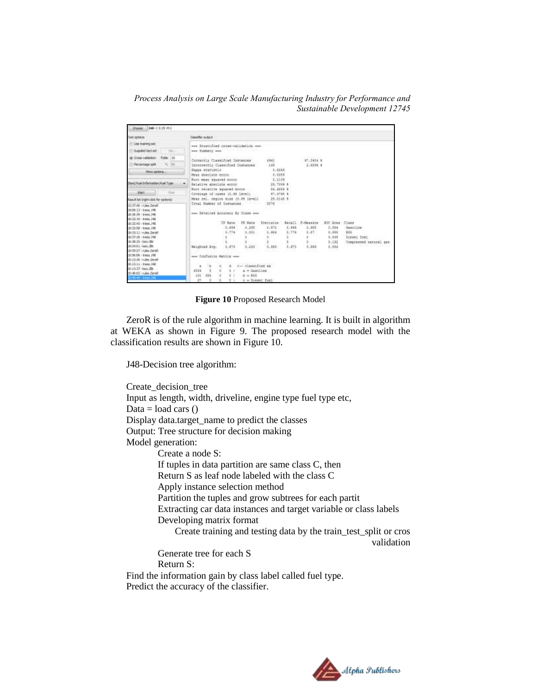*Process Analysis on Large Scale Manufacturing Industry for Performance and Sustainable Development 12745*

| Text soldars:                                 | <b>Classifier output</b>                                        |                   |                                  |                        |              |                        |                 |                           |
|-----------------------------------------------|-----------------------------------------------------------------|-------------------|----------------------------------|------------------------|--------------|------------------------|-----------------|---------------------------|
| <b>Cities training pat.</b>                   | www Stratified cross-halidation www.                            |                   |                                  |                        |              |                        |                 |                           |
| <b>Babled lest set:</b><br><b>RACIO</b>       | nee SANACI and                                                  |                   |                                  |                        |              |                        |                 |                           |
| IE Cross-raildation - Folds: Ltd.             | Correctly Classified Distusces                                  |                   |                                  | 4341                   |              | 000203000<br>87,3414.4 |                 |                           |
| - Percentage soll.<br>$\cdots$                | Incorportly Classified Instructed                               |                   |                                  | $-3.25$                |              |                        | 3,4564 8        |                           |
| Hore patters                                  | Wedne statistic.                                                |                   |                                  | $4 - 1245$             |              |                        |                 |                           |
|                                               | Near searching excep-<br>Spot mean squared error                |                   |                                  | 7.2218<br>$-5.1196$    |              |                        |                 |                           |
| Beand Fuel Information, Fuel Tube.            | Relative absolute expor-                                        |                   |                                  | 29.7233 8              |              |                        |                 |                           |
| <b>SWELL</b><br>$\frac{1}{2}$                 | Room selective equaced ennor                                    |                   |                                  | \$4,8234.4             |              |                        |                 |                           |
|                                               | Covenage of cases (0.99 level)                                  |                   |                                  | 97.3795.8<br>78.2548.8 |              |                        |                 |                           |
| <b>Result list (right-click for optional)</b> | Near ral, region size (1.55 Devel)<br>Total Humber of Instances |                   |                                  | 5574                   |              |                        |                 |                           |
| Senit advised String                          |                                                                 |                   |                                  |                        |              |                        |                 |                           |
| 18:09:11 + trees, 348<br>18132-09 - EWAL 297  | ene Detailed Accuracy by Class new                              |                   |                                  |                        |              |                        |                 |                           |
| 1013219 - trees. 346                          |                                                                 |                   |                                  |                        |              |                        |                 |                           |
| 18:33142 - trees 148                          |                                                                 | TF Rane           |                                  | IT Rate : TheoLabox    |              | Becall P-Seavore       | BDC Ross, Chang |                           |
| 18(12-58 - trees, 24)                         |                                                                 | $-0.188$          | X, 268                           | $1.112 -$              | 1.111        | E.3853                 | $3 - 544$       | Sasoline.                 |
| 18:33:11 (n.les.2esR)                         |                                                                 | 4,756<br>gristic  | 1.881                            | 1.111                  | 1.774        | L.11                   | 1.111           | <b>TIL</b>                |
| 18137-30 - 6 km 346                           |                                                                 |                   |                                  |                        |              |                        | 1.115           | <b>Diese: Tues</b>        |
| 18:38:25 - Upy .390<br>18154101-140V.IBK      |                                                                 | 量のことに             | # 2021                           |                        | <b>CALLS</b> | \$15.57                | 2,192           | Componented manuary, pas- |
| Rent Mont-10-0916                             | Weighted Ave.                                                   | 3,373             | 1.243                            | 1.341.                 | 8.873        | 7.383<br>e s           | E.044           |                           |
| 18/56:06 - Innex 346                          | one Confision Hatrid wee-                                       |                   |                                  |                        |              |                        |                 |                           |
| Revel, price: 26.01.03                        |                                                                 |                   |                                  |                        |              |                        |                 |                           |
| 20:13:11 - trees 348                          | 96<br>٠                                                         | ಂ                 | $\pm$ $\leftarrow$ classified as |                        |              |                        |                 |                           |
| 20:13:37 -lazy.30k                            | 4336<br>п                                                       | п<br>3.1          | a + Sarcline                     |                        |              |                        |                 |                           |
| Rent, mkn - 50-88157                          | Lit<br>366                                                      | $\mathbb{R}$<br>٠ | $x = 111$                        |                        |              |                        |                 |                           |
| 2140-95 - Engl 148 -                          | 27                                                              | $+1$              | d = Sieret fuel                  |                        |              |                        |                 |                           |

**Figure 10** Proposed Research Model

ZeroR is of the rule algorithm in machine learning. It is built in algorithm at WEKA as shown in Figure 9. The proposed research model with the classification results are shown in Figure 10.

J48-Decision tree algorithm:

Create\_decision\_tree Input as length, width, driveline, engine type fuel type etc, Data = load cars  $()$ Display data.target\_name to predict the classes Output: Tree structure for decision making Model generation: Create a node S: If tuples in data partition are same class C, then Return S as leaf node labeled with the class C Apply instance selection method Partition the tuples and grow subtrees for each partit Extracting car data instances and target variable or class labels Developing matrix format Create training and testing data by the train\_test\_split or cros validation Generate tree for each S Return S: Find the information gain by class label called fuel type. Predict the accuracy of the classifier.

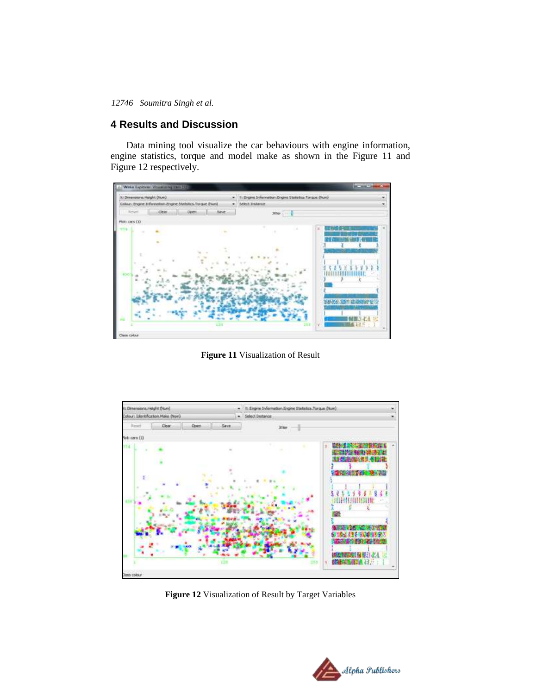## **4 Results and Discussion**

Data mining tool visualize the car behaviours with engine information, engine statistics, torque and model make as shown in the Figure 11 and Figure 12 respectively.



**Figure 11** Visualization of Result



**Figure 12** Visualization of Result by Target Variables

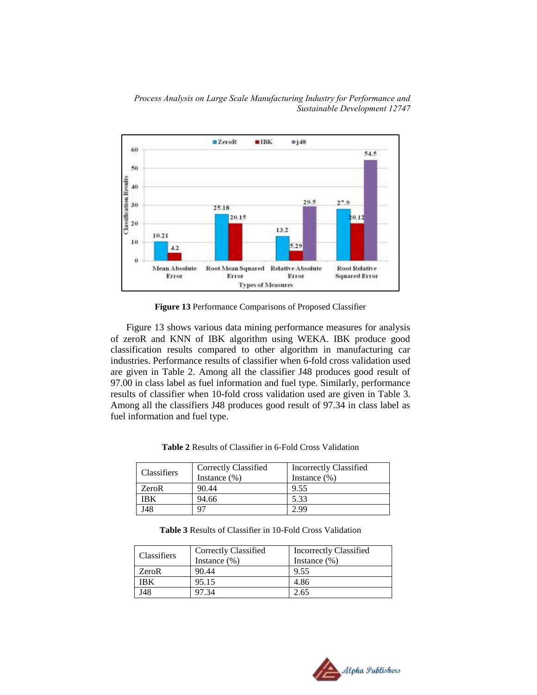



**Figure 13** Performance Comparisons of Proposed Classifier

Figure 13 shows various data mining performance measures for analysis of zeroR and KNN of IBK algorithm using WEKA. IBK produce good classification results compared to other algorithm in manufacturing car industries. Performance results of classifier when 6-fold cross validation used are given in Table 2. Among all the classifier J48 produces good result of 97.00 in class label as fuel information and fuel type. Similarly, performance results of classifier when 10-fold cross validation used are given in Table 3. Among all the classifiers J48 produces good result of 97.34 in class label as fuel information and fuel type.

| <b>Classifiers</b> | Correctly Classified<br>Instance $(\% )$ | Incorrectly Classified<br>Instance $(\% )$ |  |
|--------------------|------------------------------------------|--------------------------------------------|--|
| ZeroR              | 90.44                                    | 9.55                                       |  |
| IBK                | 94.66                                    | 5.33                                       |  |
| J48                |                                          | 2.99                                       |  |

**Table 2** Results of Classifier in 6-Fold Cross Validation

**Table 3** Results of Classifier in 10-Fold Cross Validation

| <b>Classifiers</b> | Correctly Classified<br>Instance $(\% )$ | Incorrectly Classified<br>Instance $(\%)$ |
|--------------------|------------------------------------------|-------------------------------------------|
| ZeroR              | 90.44                                    | 9.55                                      |
| IBK                | 95.15                                    | 4.86                                      |
| J48                | 97.34                                    | 2.65                                      |

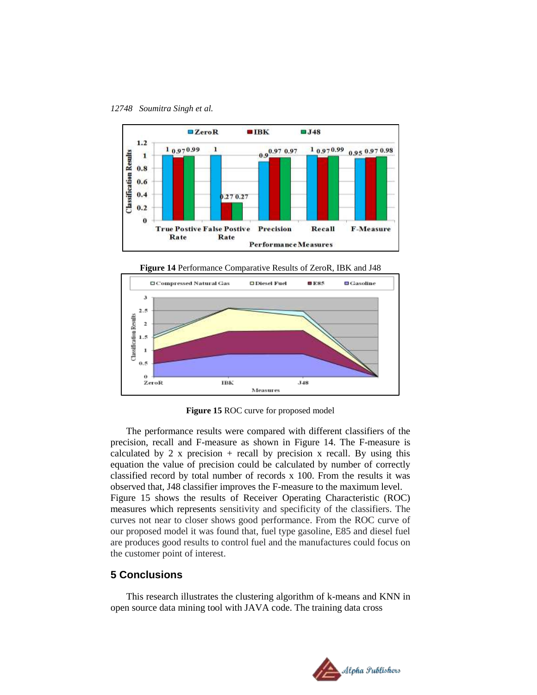



**Figure 14** Performance Comparative Results of ZeroR, IBK and J48



**Figure 15** ROC curve for proposed model

The performance results were compared with different classifiers of the precision, recall and F-measure as shown in Figure 14. The F-measure is calculated by 2 x precision  $+$  recall by precision x recall. By using this equation the value of precision could be calculated by number of correctly classified record by total number of records x 100. From the results it was observed that, J48 classifier improves the F-measure to the maximum level. Figure 15 shows the results of Receiver Operating Characteristic (ROC) measures which represents sensitivity and specificity of the classifiers. The curves not near to closer shows good performance. From the ROC curve of our proposed model it was found that, fuel type gasoline, E85 and diesel fuel are produces good results to control fuel and the manufactures could focus on the customer point of interest.

## **5 Conclusions**

This research illustrates the clustering algorithm of k-means and KNN in open source data mining tool with JAVA code. The training data cross

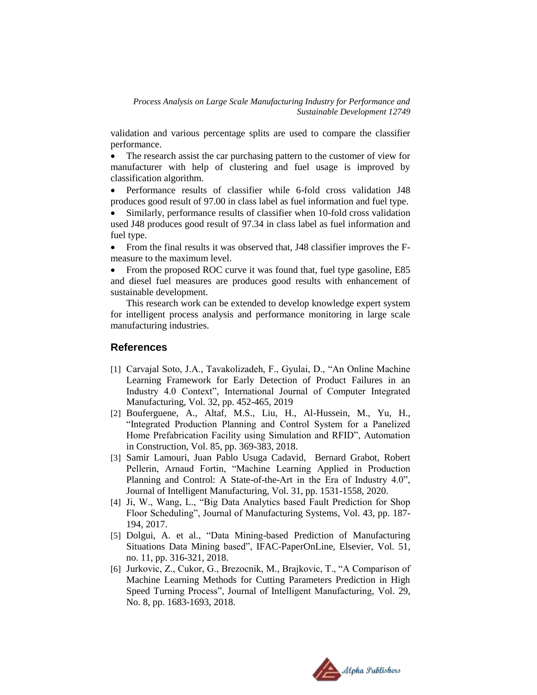validation and various percentage splits are used to compare the classifier performance.

 The research assist the car purchasing pattern to the customer of view for manufacturer with help of clustering and fuel usage is improved by classification algorithm.

 Performance results of classifier while 6-fold cross validation J48 produces good result of 97.00 in class label as fuel information and fuel type.

 Similarly, performance results of classifier when 10-fold cross validation used J48 produces good result of 97.34 in class label as fuel information and fuel type.

• From the final results it was observed that, J48 classifier improves the Fmeasure to the maximum level.

• From the proposed ROC curve it was found that, fuel type gasoline, E85 and diesel fuel measures are produces good results with enhancement of sustainable development.

This research work can be extended to develop knowledge expert system for intelligent process analysis and performance monitoring in large scale manufacturing industries.

## **References**

- [1] Carvajal Soto, J.A., Tavakolizadeh, F., Gyulai, D., "An Online Machine Learning Framework for Early Detection of Product Failures in an Industry 4.0 Context", International Journal of Computer Integrated Manufacturing, Vol. 32, pp. 452-465, 2019
- [2] Bouferguene, A., Altaf, M.S., Liu, H., Al-Hussein, M., Yu, H., "Integrated Production Planning and Control System for a Panelized Home Prefabrication Facility using Simulation and RFID", Automation in Construction, Vol. 85, pp. 369-383, 2018.
- [3] Samir Lamouri, Juan Pablo Usuga Cadavid, Bernard Grabot, Robert Pellerin, Arnaud Fortin, "Machine Learning Applied in Production Planning and Control: A State-of-the-Art in the Era of Industry 4.0", Journal of Intelligent Manufacturing, Vol. 31, pp. 1531-1558, 2020.
- [4] Ji, W., Wang, L., "Big Data Analytics based Fault Prediction for Shop Floor Scheduling", Journal of Manufacturing Systems, Vol. 43, pp. 187- 194, 2017.
- [5] Dolgui, A. et al., "Data Mining-based Prediction of Manufacturing Situations Data Mining based", IFAC-PaperOnLine, Elsevier, Vol. 51, no. 11, pp. 316-321, 2018.
- [6] Jurkovic, Z., Cukor, G., Brezocnik, M., Brajkovic, T., "A Comparison of Machine Learning Methods for Cutting Parameters Prediction in High Speed Turning Process", Journal of Intelligent Manufacturing, Vol. 29, No. 8, pp. 1683-1693, 2018.

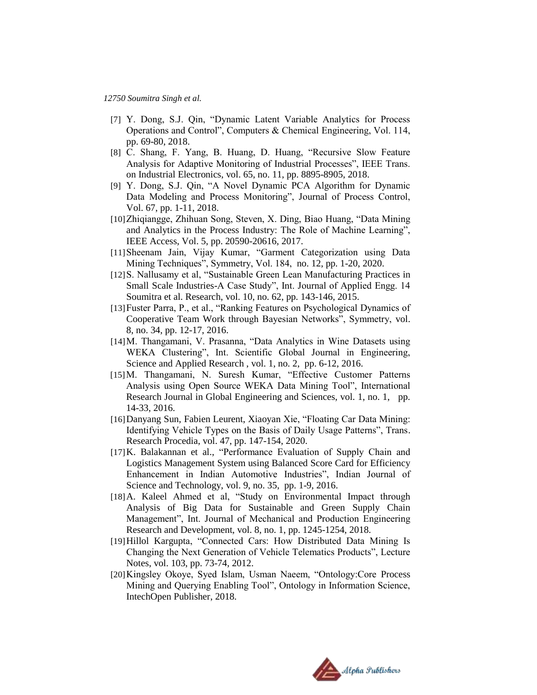- [7] Y. Dong, S.J. Qin, "Dynamic Latent Variable Analytics for Process Operations and Control", Computers & Chemical Engineering, Vol. 114, pp. 69-80, 2018.
- [8] C. Shang, F. Yang, B. Huang, D. Huang, "Recursive Slow Feature Analysis for Adaptive Monitoring of Industrial Processes", IEEE Trans. on Industrial Electronics, vol. 65, no. 11, pp. 8895-8905, 2018.
- [9] Y. Dong, S.J. Qin, "A Novel Dynamic PCA Algorithm for Dynamic Data Modeling and Process Monitoring", Journal of Process Control, Vol. 67, pp. 1-11, 2018.
- [10]Zhiqiangge, Zhihuan Song, Steven, X. Ding, Biao Huang, "Data Mining and Analytics in the Process Industry: The Role of Machine Learning", IEEE Access, Vol. 5, pp. 20590-20616, 2017.
- [11]Sheenam Jain, Vijay Kumar, "Garment Categorization using Data Mining Techniques", Symmetry, Vol. 184, no. 12, pp. 1-20, 2020.
- [12]S. Nallusamy et al, "Sustainable Green Lean Manufacturing Practices in Small Scale Industries-A Case Study", Int. Journal of Applied Engg. 14 Soumitra et al. Research, vol. 10, no. 62, pp. 143-146, 2015.
- [13]Fuster Parra, P., et al., "Ranking Features on Psychological Dynamics of Cooperative Team Work through Bayesian Networks", Symmetry, vol. 8, no. 34, pp. 12-17, 2016.
- [14] M. Thangamani, V. Prasanna, "Data Analytics in Wine Datasets using WEKA Clustering", Int. Scientific Global Journal in Engineering, Science and Applied Research , vol. 1, no. 2, pp. 6-12, 2016.
- [15]M. Thangamani, N. Suresh Kumar, "Effective Customer Patterns Analysis using Open Source WEKA Data Mining Tool", International Research Journal in Global Engineering and Sciences, vol. 1, no. 1, pp. 14-33, 2016.
- [16] Danyang Sun, Fabien Leurent, Xiaoyan Xie, "Floating Car Data Mining: Identifying Vehicle Types on the Basis of Daily Usage Patterns", Trans. Research Procedia, vol. 47, pp. 147-154, 2020.
- [17]K. Balakannan et al., "Performance Evaluation of Supply Chain and Logistics Management System using Balanced Score Card for Efficiency Enhancement in Indian Automotive Industries", Indian Journal of Science and Technology, vol. 9, no. 35, pp. 1-9, 2016.
- [18]A. Kaleel Ahmed et al, "Study on Environmental Impact through Analysis of Big Data for Sustainable and Green Supply Chain Management", Int. Journal of Mechanical and Production Engineering Research and Development, vol. 8, no. 1, pp. 1245-1254, 2018.
- [19] Hillol Kargupta, "Connected Cars: How Distributed Data Mining Is Changing the Next Generation of Vehicle Telematics Products", Lecture Notes, vol. 103, pp. 73-74, 2012.
- [20]Kingsley Okoye, Syed Islam, Usman Naeem, "Ontology:Core Process Mining and Querying Enabling Tool", Ontology in Information Science, IntechOpen Publisher, 2018.

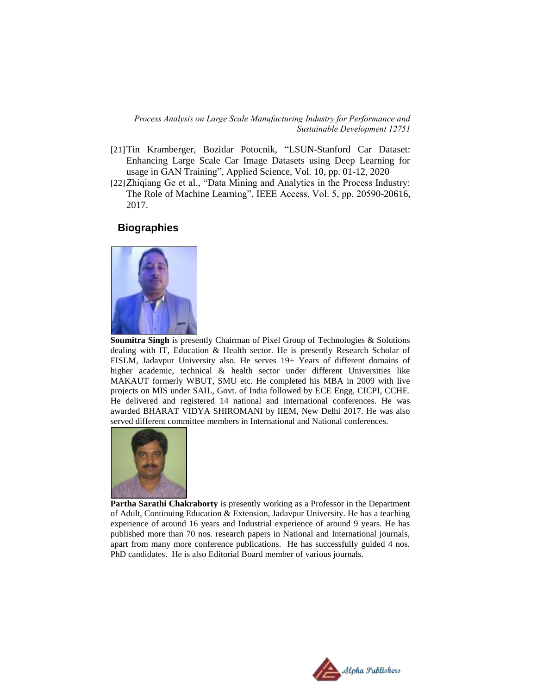- [21]Tin Kramberger, Bozidar Potocnik, "LSUN-Stanford Car Dataset: Enhancing Large Scale Car Image Datasets using Deep Learning for usage in GAN Training", Applied Science, Vol. 10, pp. 01-12, 2020
- [22] Zhiqiang Ge et al., "Data Mining and Analytics in the Process Industry: The Role of Machine Learning", IEEE Access, Vol. 5, pp. 20590-20616, 2017.

#### **Biographies**



**Soumitra Singh** is presently Chairman of Pixel Group of Technologies & Solutions dealing with IT, Education & Health sector. He is presently Research Scholar of FISLM, Jadavpur University also. He serves 19+ Years of different domains of higher academic, technical & health sector under different Universities like MAKAUT formerly WBUT, SMU etc. He completed his MBA in 2009 with live projects on MIS under SAIL, Govt. of India followed by ECE Engg, CICPI, CCHE. He delivered and registered 14 national and international conferences. He was awarded BHARAT VIDYA SHIROMANI by IIEM, New Delhi 2017. He was also served different committee members in International and National conferences.



**Partha Sarathi Chakraborty** is presently working as a Professor in the Department of Adult, Continuing Education & Extension, Jadavpur University. He has a teaching experience of around 16 years and Industrial experience of around 9 years. He has published more than 70 nos. research papers in National and International journals, apart from many more conference publications. He has successfully guided 4 nos. PhD candidates. He is also Editorial Board member of various journals.